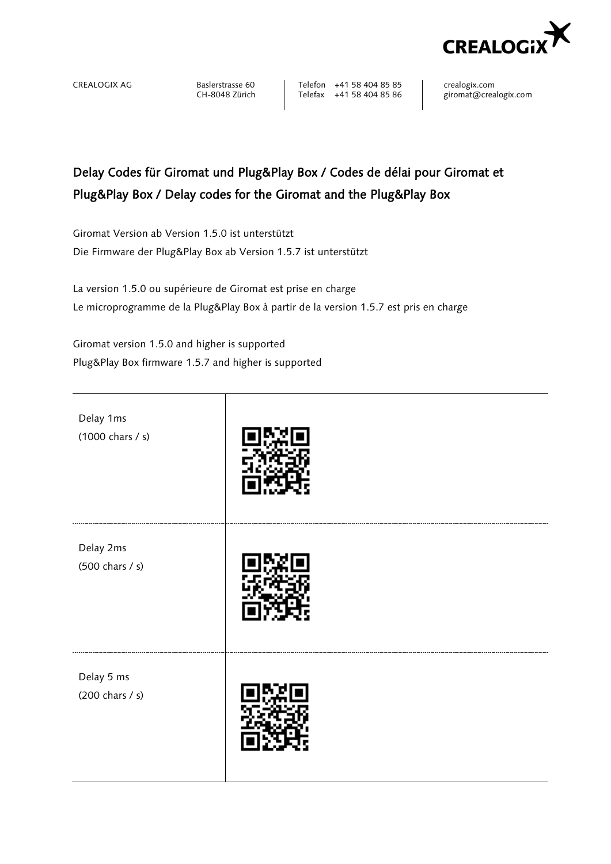

CREALOGIX AG Baslerstrasse 60 <br>CH-8048 Zürich Telefax +41 58 404 85 86 giromat@crealogix.com Telefax +41 58 404 85 86

## Delay Codes für Giromat und Plug&Play Box / Codes de délai pour Giromat et Plug&Play Box / Delay codes for the Giromat and the Plug&Play Box

Giromat Version ab Version 1.5.0 ist unterstützt Die Firmware der Plug&Play Box ab Version 1.5.7 ist unterstützt

La version 1.5.0 ou supérieure de Giromat est prise en charge Le microprogramme de la Plug&Play Box à partir de la version 1.5.7 est pris en charge

Giromat version 1.5.0 and higher is supported Plug&Play Box firmware 1.5.7 and higher is supported

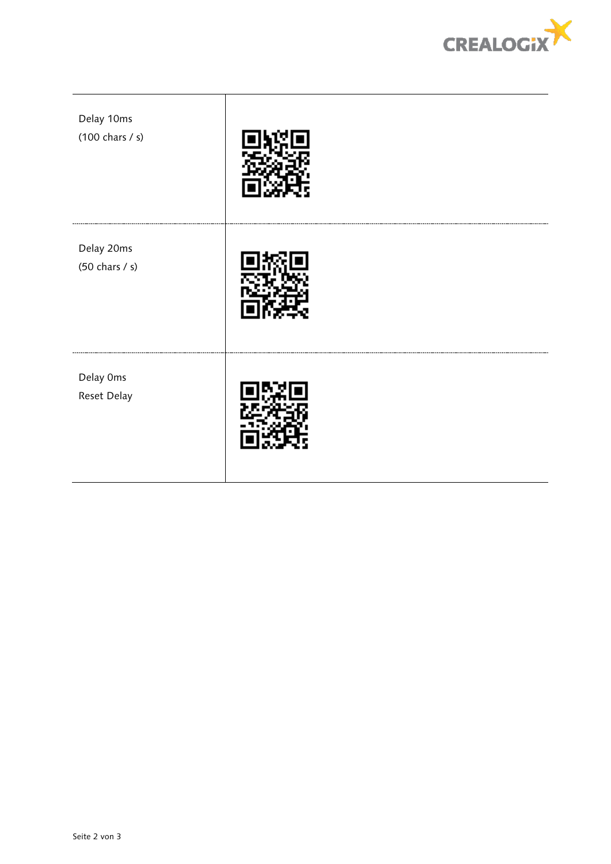

| Delay 10ms<br>$(100 \text{ chars} / s)$        |  |
|------------------------------------------------|--|
| Delay 20ms<br>$(50 \text{ chars } / \text{s})$ |  |
| Delay Oms<br>Reset Delay                       |  |